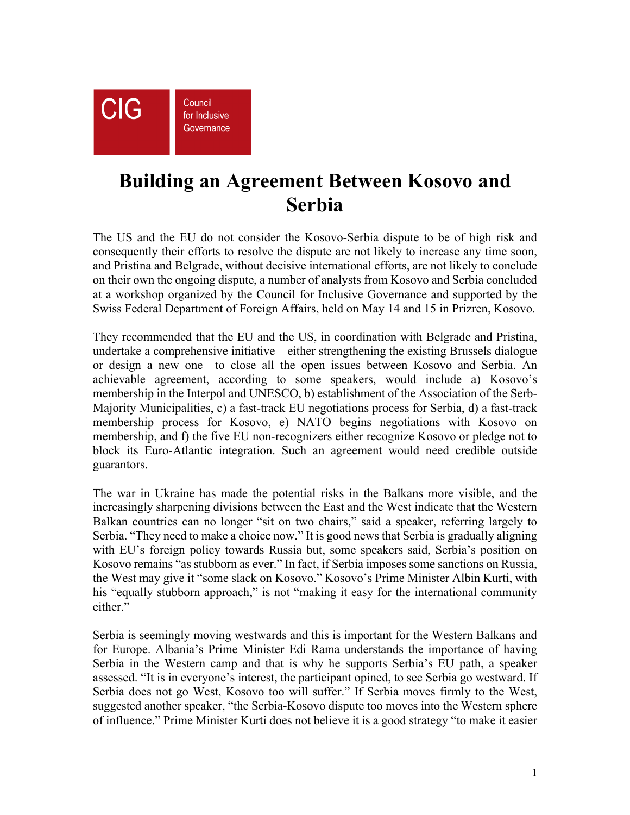

## **Building an Agreement Between Kosovo and Serbia**

The US and the EU do not consider the Kosovo-Serbia dispute to be of high risk and consequently their efforts to resolve the dispute are not likely to increase any time soon, and Pristina and Belgrade, without decisive international efforts, are not likely to conclude on their own the ongoing dispute, a number of analysts from Kosovo and Serbia concluded at a workshop organized by the Council for Inclusive Governance and supported by the Swiss Federal Department of Foreign Affairs, held on May 14 and 15 in Prizren, Kosovo.

They recommended that the EU and the US, in coordination with Belgrade and Pristina, undertake a comprehensive initiative—either strengthening the existing Brussels dialogue or design a new one—to close all the open issues between Kosovo and Serbia. An achievable agreement, according to some speakers, would include a) Kosovo's membership in the Interpol and UNESCO, b) establishment of the Association of the Serb-Majority Municipalities, c) a fast-track EU negotiations process for Serbia, d) a fast-track membership process for Kosovo, e) NATO begins negotiations with Kosovo on membership, and f) the five EU non-recognizers either recognize Kosovo or pledge not to block its Euro-Atlantic integration. Such an agreement would need credible outside guarantors.

The war in Ukraine has made the potential risks in the Balkans more visible, and the increasingly sharpening divisions between the East and the West indicate that the Western Balkan countries can no longer "sit on two chairs," said a speaker, referring largely to Serbia. "They need to make a choice now." It is good news that Serbia is gradually aligning with EU's foreign policy towards Russia but, some speakers said, Serbia's position on Kosovo remains "as stubborn as ever." In fact, if Serbia imposes some sanctions on Russia, the West may give it "some slack on Kosovo." Kosovo's Prime Minister Albin Kurti, with his "equally stubborn approach," is not "making it easy for the international community either."

Serbia is seemingly moving westwards and this is important for the Western Balkans and for Europe. Albania's Prime Minister Edi Rama understands the importance of having Serbia in the Western camp and that is why he supports Serbia's EU path, a speaker assessed. "It is in everyone's interest, the participant opined, to see Serbia go westward. If Serbia does not go West, Kosovo too will suffer." If Serbia moves firmly to the West, suggested another speaker, "the Serbia-Kosovo dispute too moves into the Western sphere of influence." Prime Minister Kurti does not believe it is a good strategy "to make it easier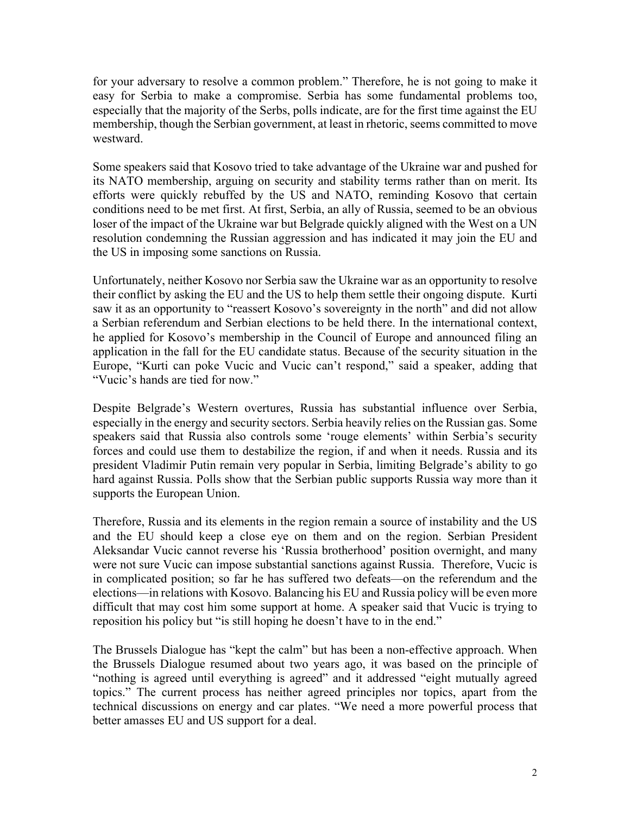for your adversary to resolve a common problem." Therefore, he is not going to make it easy for Serbia to make a compromise. Serbia has some fundamental problems too, especially that the majority of the Serbs, polls indicate, are for the first time against the EU membership, though the Serbian government, at least in rhetoric, seems committed to move westward.

Some speakers said that Kosovo tried to take advantage of the Ukraine war and pushed for its NATO membership, arguing on security and stability terms rather than on merit. Its efforts were quickly rebuffed by the US and NATO, reminding Kosovo that certain conditions need to be met first. At first, Serbia, an ally of Russia, seemed to be an obvious loser of the impact of the Ukraine war but Belgrade quickly aligned with the West on a UN resolution condemning the Russian aggression and has indicated it may join the EU and the US in imposing some sanctions on Russia.

Unfortunately, neither Kosovo nor Serbia saw the Ukraine war as an opportunity to resolve their conflict by asking the EU and the US to help them settle their ongoing dispute. Kurti saw it as an opportunity to "reassert Kosovo's sovereignty in the north" and did not allow a Serbian referendum and Serbian elections to be held there. In the international context, he applied for Kosovo's membership in the Council of Europe and announced filing an application in the fall for the EU candidate status. Because of the security situation in the Europe, "Kurti can poke Vucic and Vucic can't respond," said a speaker, adding that "Vucic's hands are tied for now."

Despite Belgrade's Western overtures, Russia has substantial influence over Serbia, especially in the energy and security sectors. Serbia heavily relies on the Russian gas. Some speakers said that Russia also controls some 'rouge elements' within Serbia's security forces and could use them to destabilize the region, if and when it needs. Russia and its president Vladimir Putin remain very popular in Serbia, limiting Belgrade's ability to go hard against Russia. Polls show that the Serbian public supports Russia way more than it supports the European Union.

Therefore, Russia and its elements in the region remain a source of instability and the US and the EU should keep a close eye on them and on the region. Serbian President Aleksandar Vucic cannot reverse his 'Russia brotherhood' position overnight, and many were not sure Vucic can impose substantial sanctions against Russia. Therefore, Vucic is in complicated position; so far he has suffered two defeats—on the referendum and the elections—in relations with Kosovo. Balancing his EU and Russia policy will be even more difficult that may cost him some support at home. A speaker said that Vucic is trying to reposition his policy but "is still hoping he doesn't have to in the end."

The Brussels Dialogue has "kept the calm" but has been a non-effective approach. When the Brussels Dialogue resumed about two years ago, it was based on the principle of "nothing is agreed until everything is agreed" and it addressed "eight mutually agreed topics." The current process has neither agreed principles nor topics, apart from the technical discussions on energy and car plates. "We need a more powerful process that better amasses EU and US support for a deal.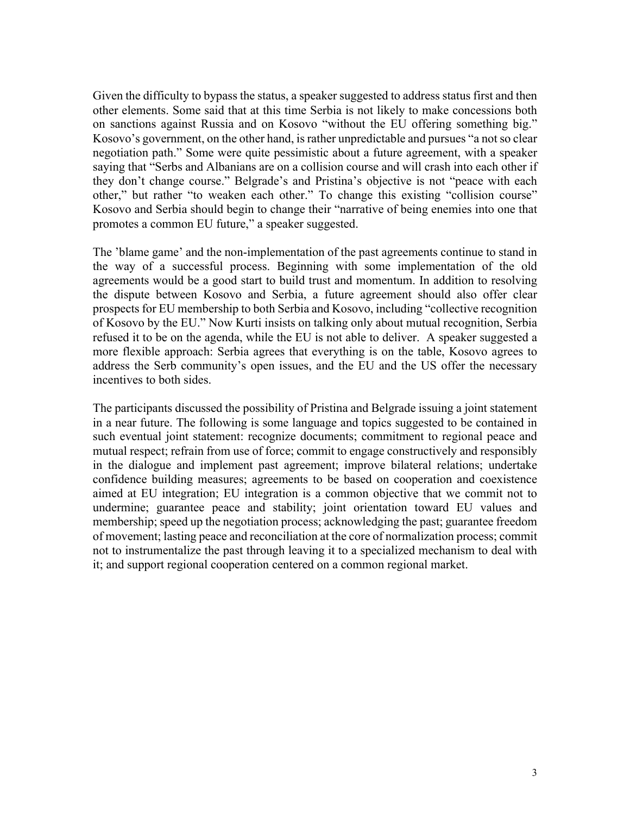Given the difficulty to bypass the status, a speaker suggested to address status first and then other elements. Some said that at this time Serbia is not likely to make concessions both on sanctions against Russia and on Kosovo "without the EU offering something big." Kosovo's government, on the other hand, is rather unpredictable and pursues "a not so clear negotiation path." Some were quite pessimistic about a future agreement, with a speaker saying that "Serbs and Albanians are on a collision course and will crash into each other if they don't change course." Belgrade's and Pristina's objective is not "peace with each other," but rather "to weaken each other." To change this existing "collision course" Kosovo and Serbia should begin to change their "narrative of being enemies into one that promotes a common EU future," a speaker suggested.

The 'blame game' and the non-implementation of the past agreements continue to stand in the way of a successful process. Beginning with some implementation of the old agreements would be a good start to build trust and momentum. In addition to resolving the dispute between Kosovo and Serbia, a future agreement should also offer clear prospects for EU membership to both Serbia and Kosovo, including "collective recognition of Kosovo by the EU." Now Kurti insists on talking only about mutual recognition, Serbia refused it to be on the agenda, while the EU is not able to deliver. A speaker suggested a more flexible approach: Serbia agrees that everything is on the table, Kosovo agrees to address the Serb community's open issues, and the EU and the US offer the necessary incentives to both sides.

The participants discussed the possibility of Pristina and Belgrade issuing a joint statement in a near future. The following is some language and topics suggested to be contained in such eventual joint statement: recognize documents; commitment to regional peace and mutual respect; refrain from use of force; commit to engage constructively and responsibly in the dialogue and implement past agreement; improve bilateral relations; undertake confidence building measures; agreements to be based on cooperation and coexistence aimed at EU integration; EU integration is a common objective that we commit not to undermine; guarantee peace and stability; joint orientation toward EU values and membership; speed up the negotiation process; acknowledging the past; guarantee freedom of movement; lasting peace and reconciliation at the core of normalization process; commit not to instrumentalize the past through leaving it to a specialized mechanism to deal with it; and support regional cooperation centered on a common regional market.